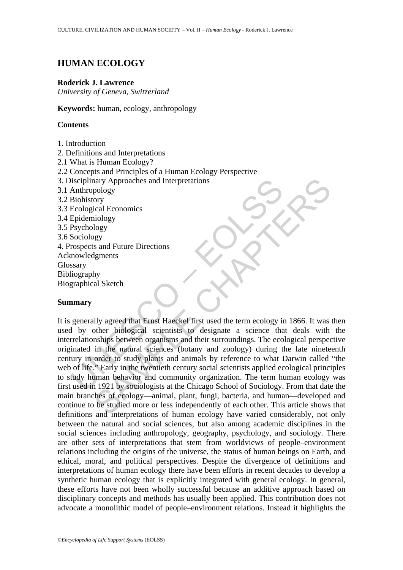# **HUMAN ECOLOGY**

#### **Roderick J. Lawrence**

*University of Geneva, Switzerland* 

**Keywords:** human, ecology, anthropology

### **Contents**

- 1. Introduction
- 2. Definitions and Interpretations
- 2.1 What is Human Ecology?
- 2.2 Concepts and Principles of a Human Ecology Perspective
- 3. Disciplinary Approaches and Interpretations
- 3.1 Anthropology
- 3.2 Biohistory
- 3.3 Ecological Economics
- 3.4 Epidemiology
- 3.5 Psychology
- 3.6 Sociology
- 4. Prospects and Future Directions
- Acknowledgments
- Glossary
- Bibliography
- Biographical Sketch

### **Summary**

Exploitation<br>
Shorthropology<br>
Brobistory<br>
Ecological Economics<br>
Epidemiology<br>
Ecological Economics<br>
Epidemiology<br>
Psychology<br>
Psychology<br>
Psychology<br>
Psychology<br>
Sociology<br>
Sociology<br>
Saciology<br>
Sacismus<br>
Sary<br>
In order to The Matter of the matter of the comparison of the same of the same of the same of the same of the chapter of the add Sketch<br>
Samples of the same of the same of the same of the same of the same of the matter of the properti It is generally agreed that Ernst Haeckel first used the term ecology in 1866. It was then used by other biological scientists to designate a science that deals with the interrelationships between organisms and their surroundings. The ecological perspective originated in the natural sciences (botany and zoology) during the late nineteenth century in order to study plants and animals by reference to what Darwin called "the web of life." Early in the twentieth century social scientists applied ecological principles to study human behavior and community organization. The term human ecology was first used in 1921 by sociologists at the Chicago School of Sociology. From that date the main branches of ecology—animal, plant, fungi, bacteria, and human—developed and continue to be studied more or less independently of each other. This article shows that definitions and interpretations of human ecology have varied considerably, not only between the natural and social sciences, but also among academic disciplines in the social sciences including anthropology, geography, psychology, and sociology. There are other sets of interpretations that stem from worldviews of people–environment relations including the origins of the universe, the status of human beings on Earth, and ethical, moral, and political perspectives. Despite the divergence of definitions and interpretations of human ecology there have been efforts in recent decades to develop a synthetic human ecology that is explicitly integrated with general ecology. In general, these efforts have not been wholly successful because an additive approach based on disciplinary concepts and methods has usually been applied. This contribution does not advocate a monolithic model of people–environment relations. Instead it highlights the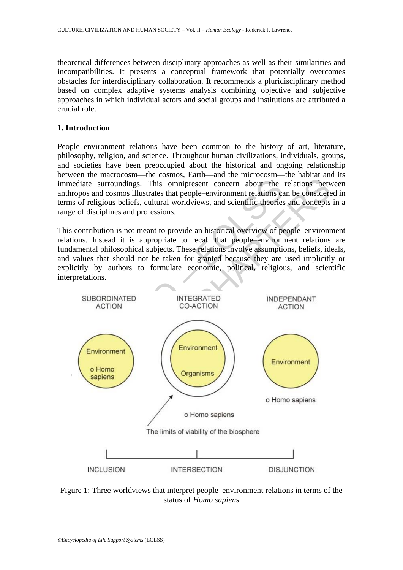theoretical differences between disciplinary approaches as well as their similarities and incompatibilities. It presents a conceptual framework that potentially overcomes obstacles for interdisciplinary collaboration. It recommends a pluridisciplinary method based on complex adaptive systems analysis combining objective and subjective approaches in which individual actors and social groups and institutions are attributed a crucial role.

### **1. Introduction**

People–environment relations have been common to the history of art, literature, philosophy, religion, and science. Throughout human civilizations, individuals, groups, and societies have been preoccupied about the historical and ongoing relationship between the macrocosm—the cosmos, Earth—and the microcosm—the habitat and its immediate surroundings. This omnipresent concern about the relations between anthropos and cosmos illustrates that people–environment relations can be considered in terms of religious beliefs, cultural worldviews, and scientific theories and concepts in a range of disciplines and professions.

This contribution is not meant to provide an historical overview of people–environment relations. Instead it is appropriate to recall that people–environment relations are fundamental philosophical subjects. These relations involve assumptions, beliefs, ideals, and values that should not be taken for granted because they are used implicitly or explicitly by authors to formulate economic, political, religious, and scientific interpretations.



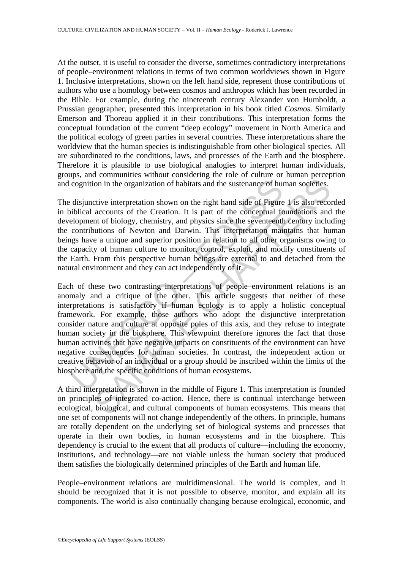At the outset, it is useful to consider the diverse, sometimes contradictory interpretations of people–environment relations in terms of two common worldviews shown in Figure 1. Inclusive interpretations, shown on the left hand side, represent those contributions of authors who use a homology between cosmos and anthropos which has been recorded in the Bible. For example, during the nineteenth century Alexander von Humboldt, a Prussian geographer, presented this interpretation in his book titled *Cosmos*. Similarly Emerson and Thoreau applied it in their contributions. This interpretation forms the conceptual foundation of the current "deep ecology" movement in North America and the political ecology of green parties in several countries. These interpretations share the worldview that the human species is indistinguishable from other biological species. All are subordinated to the conditions, laws, and processes of the Earth and the biosphere. Therefore it is plausible to use biological analogies to interpret human individuals, groups, and communities without considering the role of culture or human perception and cognition in the organization of habitats and the sustenance of human societies.

The disjunctive interpretation shown on the right hand side of Figure 1 is also recorded in biblical accounts of the Creation. It is part of the conceptual foundations and the development of biology, chemistry, and physics since the seventeenth century including the contributions of Newton and Darwin. This interpretation maintains that human beings have a unique and superior position in relation to all other organisms owing to the capacity of human culture to monitor, control, exploit, and modify constituents of the Earth. From this perspective human beings are external to and detached from the natural environment and they can act independently of it.

cognition in the organization of habitats and the sustenance of humor disjunctive interpretation shown on the right hand side of Figure ibliogal accounts of the Creation. It is part of the conceptual for biology, chemistry on in the organization of habitats and the sustenance of human societies.<br>
crive interpretation shown on the right hand side of Figure 1 is also recocounts of the Creation. It is part of the conceptual foundations and<br>
and Each of these two contrasting interpretations of people–environment relations is an anomaly and a critique of the other. This article suggests that neither of these interpretations is satisfactory if human ecology is to apply a holistic conceptual framework. For example, those authors who adopt the disjunctive interpretation consider nature and culture at opposite poles of this axis, and they refuse to integrate human society in the biosphere. This viewpoint therefore ignores the fact that those human activities that have negative impacts on constituents of the environment can have negative consequences for human societies. In contrast, the independent action or creative behavior of an individual or a group should be inscribed within the limits of the biosphere and the specific conditions of human ecosystems.

A third interpretation is shown in the middle of Figure 1. This interpretation is founded on principles of integrated co-action. Hence, there is continual interchange between ecological, biological, and cultural components of human ecosystems. This means that one set of components will not change independently of the others. In principle, humans are totally dependent on the underlying set of biological systems and processes that operate in their own bodies, in human ecosystems and in the biosphere. This dependency is crucial to the extent that all products of culture—including the economy, institutions, and technology—are not viable unless the human society that produced them satisfies the biologically determined principles of the Earth and human life.

People–environment relations are multidimensional. The world is complex, and it should be recognized that it is not possible to observe, monitor, and explain all its components. The world is also continually changing because ecological, economic, and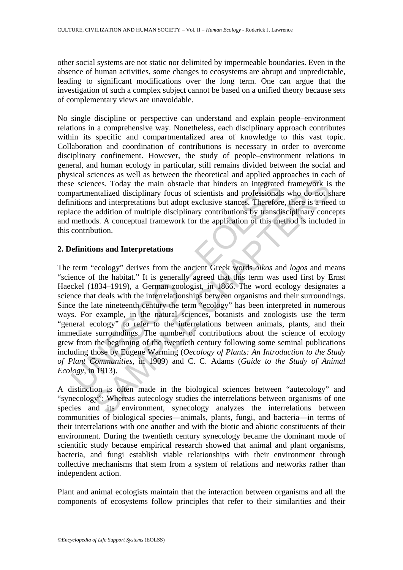other social systems are not static nor delimited by impermeable boundaries. Even in the absence of human activities, some changes to ecosystems are abrupt and unpredictable, leading to significant modifications over the long term. One can argue that the investigation of such a complex subject cannot be based on a unified theory because sets of complementary views are unavoidable.

No single discipline or perspective can understand and explain people–environment relations in a comprehensive way. Nonetheless, each disciplinary approach contributes within its specific and compartmentalized area of knowledge to this vast topic. Collaboration and coordination of contributions is necessary in order to overcome disciplinary confinement. However, the study of people–environment relations in general, and human ecology in particular, still remains divided between the social and physical sciences as well as between the theoretical and applied approaches in each of these sciences. Today the main obstacle that hinders an integrated framework is the compartmentalized disciplinary focus of scientists and professionals who do not share definitions and interpretations but adopt exclusive stances. Therefore, there is a need to replace the addition of multiple disciplinary contributions by transdisciplinary concepts and methods. A conceptual framework for the application of this method is included in this contribution.

### **2. Definitions and Interpretations**

e sciences. Today the main obstacle that hinders an integrated<br>partmentalized disciplinary focus of scientists and professionals<br>intions and interpretations but adopt exclusive stances. Therefore<br>ace the addition of multi cress. Today the main obstacle that hinders an integrated framework is<br>ntalized disciplinary focus of scientists and professionals who do not s<br>and interpretations but adopt exclusive stances. Therefore, there is a need<br>a The term "ecology" derives from the ancient Greek words *oikos* and *logos* and means "science of the habitat." It is generally agreed that this term was used first by Ernst Haeckel (1834–1919), a German zoologist, in 1866. The word ecology designates a science that deals with the interrelationships between organisms and their surroundings. Since the late nineteenth century the term "ecology" has been interpreted in numerous ways. For example, in the natural sciences, botanists and zoologists use the term "general ecology" to refer to the interrelations between animals, plants, and their immediate surroundings. The number of contributions about the science of ecology grew from the beginning of the twentieth century following some seminal publications including those by Eugene Warming (*Oecology of Plants: An Introduction to the Study of Plant Communities*, in 1909) and C. C. Adams (*Guide to the Study of Animal Ecology*, in 1913).

A distinction is often made in the biological sciences between "autecology" and "synecology": Whereas autecology studies the interrelations between organisms of one species and its environment, synecology analyzes the interrelations between communities of biological species—animals, plants, fungi, and bacteria—in terms of their interrelations with one another and with the biotic and abiotic constituents of their environment. During the twentieth century synecology became the dominant mode of scientific study because empirical research showed that animal and plant organisms, bacteria, and fungi establish viable relationships with their environment through collective mechanisms that stem from a system of relations and networks rather than independent action.

Plant and animal ecologists maintain that the interaction between organisms and all the components of ecosystems follow principles that refer to their similarities and their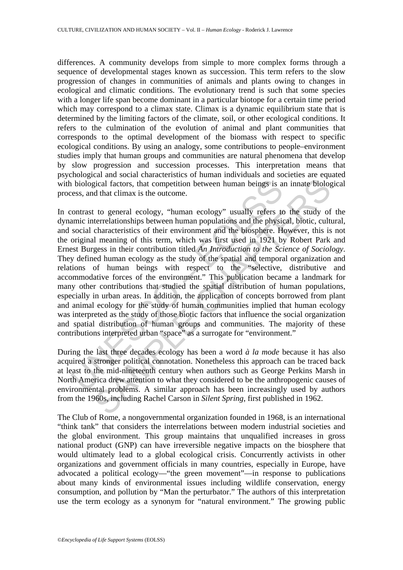differences. A community develops from simple to more complex forms through a sequence of developmental stages known as succession. This term refers to the slow progression of changes in communities of animals and plants owing to changes in ecological and climatic conditions. The evolutionary trend is such that some species with a longer life span become dominant in a particular biotope for a certain time period which may correspond to a climax state. Climax is a dynamic equilibrium state that is determined by the limiting factors of the climate, soil, or other ecological conditions. It refers to the culmination of the evolution of animal and plant communities that corresponds to the optimal development of the biomass with respect to specific ecological conditions. By using an analogy, some contributions to people–environment studies imply that human groups and communities are natural phenomena that develop by slow progression and succession processes. This interpretation means that psychological and social characteristics of human individuals and societies are equated with biological factors, that competition between human beings is an innate biological process, and that climax is the outcome.

is biological factors, that competition between human beings is a<br>cess, and that climax is the outcome.<br>
contrast to general ecology, "human ecology" usually refers te<br>
amic interrelationships between human populations an gical factors, that competition between human beings is an innate biolog<br>dical factors, that competition between human beings is an innate biolog<br>d that climax is the outcome.<br>to general ecology, "human ecology" usually r In contrast to general ecology, "human ecology" usually refers to the study of the dynamic interrelationships between human populations and the physical, biotic, cultural, and social characteristics of their environment and the biosphere. However, this is not the original meaning of this term, which was first used in 1921 by Robert Park and Ernest Burgess in their contribution titled *An Introduction to the Science of Sociology*. They defined human ecology as the study of the spatial and temporal organization and relations of human beings with respect to the "selective, distributive and accommodative forces of the environment." This publication became a landmark for many other contributions that studied the spatial distribution of human populations, especially in urban areas. In addition, the application of concepts borrowed from plant and animal ecology for the study of human communities implied that human ecology was interpreted as the study of those biotic factors that influence the social organization and spatial distribution of human groups and communities. The majority of these contributions interpreted urban "space" as a surrogate for "environment."

During the last three decades ecology has been a word *à la mode* because it has also acquired a stronger political connotation. Nonetheless this approach can be traced back at least to the mid-nineteenth century when authors such as George Perkins Marsh in North America drew attention to what they considered to be the anthropogenic causes of environmental problems. A similar approach has been increasingly used by authors from the 1960s, including Rachel Carson in *Silent Spring*, first published in 1962.

The Club of Rome, a nongovernmental organization founded in 1968, is an international "think tank" that considers the interrelations between modern industrial societies and the global environment. This group maintains that unqualified increases in gross national product (GNP) can have irreversible negative impacts on the biosphere that would ultimately lead to a global ecological crisis. Concurrently activists in other organizations and government officials in many countries, especially in Europe, have advocated a political ecology—"the green movement"—in response to publications about many kinds of environmental issues including wildlife conservation, energy consumption, and pollution by "Man the perturbator." The authors of this interpretation use the term ecology as a synonym for "natural environment." The growing public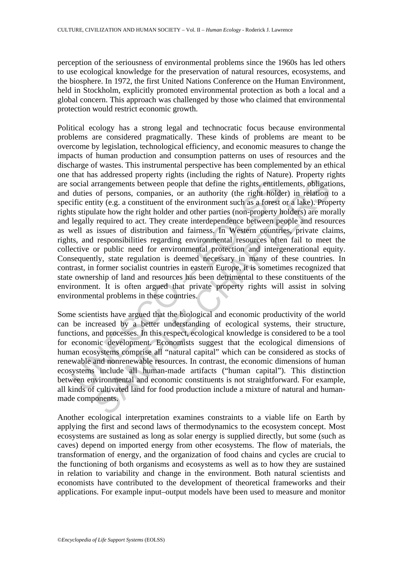perception of the seriousness of environmental problems since the 1960s has led others to use ecological knowledge for the preservation of natural resources, ecosystems, and the biosphere. In 1972, the first United Nations Conference on the Human Environment, held in Stockholm, explicitly promoted environmental protection as both a local and a global concern. This approach was challenged by those who claimed that environmental protection would restrict economic growth.

social arrangements between people that define the rights, entitle<br>duties of persons, companies, or an authority (the right holde<br>dific entity (e.g. a constituent of the environment such as a forest es<br>styluate how the rig arrangements between people that define the rights, entitlements, obligatiof persons, companies, or an authority (the right holder) in relation of persons, companies, or an authority (the right holder) in relation in the e Political ecology has a strong legal and technocratic focus because environmental problems are considered pragmatically. These kinds of problems are meant to be overcome by legislation, technological efficiency, and economic measures to change the impacts of human production and consumption patterns on uses of resources and the discharge of wastes. This instrumental perspective has been complemented by an ethical one that has addressed property rights (including the rights of Nature). Property rights are social arrangements between people that define the rights, entitlements, obligations, and duties of persons, companies, or an authority (the right holder) in relation to a specific entity (e.g. a constituent of the environment such as a forest or a lake). Property rights stipulate how the right holder and other parties (non-property holders) are morally and legally required to act. They create interdependence between people and resources as well as issues of distribution and fairness. In Western countries, private claims, rights, and responsibilities regarding environmental resources often fail to meet the collective or public need for environmental protection and intergenerational equity. Consequently, state regulation is deemed necessary in many of these countries. In contrast, in former socialist countries in eastern Europe, it is sometimes recognized that state ownership of land and resources has been detrimental to these constituents of the environment. It is often argued that private property rights will assist in solving environmental problems in these countries.

Some scientists have argued that the biological and economic productivity of the world can be increased by a better understanding of ecological systems, their structure, functions, and processes. In this respect, ecological knowledge is considered to be a tool for economic development. Economists suggest that the ecological dimensions of human ecosystems comprise all "natural capital" which can be considered as stocks of renewable and nonrenewable resources. In contrast, the economic dimensions of human ecosystems include all human-made artifacts ("human capital"). This distinction between environmental and economic constituents is not straightforward. For example, all kinds of cultivated land for food production include a mixture of natural and humanmade components.

Another ecological interpretation examines constraints to a viable life on Earth by applying the first and second laws of thermodynamics to the ecosystem concept. Most ecosystems are sustained as long as solar energy is supplied directly, but some (such as caves) depend on imported energy from other ecosystems. The flow of materials, the transformation of energy, and the organization of food chains and cycles are crucial to the functioning of both organisms and ecosystems as well as to how they are sustained in relation to variability and change in the environment. Both natural scientists and economists have contributed to the development of theoretical frameworks and their applications. For example input–output models have been used to measure and monitor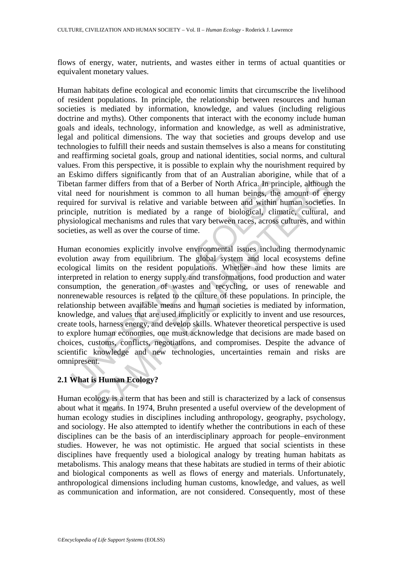flows of energy, water, nutrients, and wastes either in terms of actual quantities or equivalent monetary values.

Human habitats define ecological and economic limits that circumscribe the livelihood of resident populations. In principle, the relationship between resources and human societies is mediated by information, knowledge, and values (including religious doctrine and myths). Other components that interact with the economy include human goals and ideals, technology, information and knowledge, as well as administrative, legal and political dimensions. The way that societies and groups develop and use technologies to fulfill their needs and sustain themselves is also a means for constituting and reaffirming societal goals, group and national identities, social norms, and cultural values. From this perspective, it is possible to explain why the nourishment required by an Eskimo differs significantly from that of an Australian aborigine, while that of a Tibetan farmer differs from that of a Berber of North Africa. In principle, although the vital need for nourishment is common to all human beings, the amount of energy required for survival is relative and variable between and within human societies. In principle, nutrition is mediated by a range of biological, climatic, cultural, and physiological mechanisms and rules that vary between races, across cultures, and within societies, as well as over the course of time.

tan farmer differs from that of a Berber of North Africa. In principation and the momentum is common to all human beings, the irred for survival is relative and variable between and within his criple, nutrition is mediated mer differs from that of a Berber of North Africa. In principle, although<br>for nourishment is common to all human beings, the amount of energy<br>for nourishment is common to all human beings, the amount of energy<br>twival is re Human economies explicitly involve environmental issues including thermodynamic evolution away from equilibrium. The global system and local ecosystems define ecological limits on the resident populations. Whether and how these limits are interpreted in relation to energy supply and transformations, food production and water consumption, the generation of wastes and recycling, or uses of renewable and nonrenewable resources is related to the culture of these populations. In principle, the relationship between available means and human societies is mediated by information, knowledge, and values that are used implicitly or explicitly to invent and use resources, create tools, harness energy, and develop skills. Whatever theoretical perspective is used to explore human economies, one must acknowledge that decisions are made based on choices, customs, conflicts, negotiations, and compromises. Despite the advance of scientific knowledge and new technologies, uncertainties remain and risks are omnipresent.

## **2.1 What is Human Ecology?**

Human ecology is a term that has been and still is characterized by a lack of consensus about what it means. In 1974, Bruhn presented a useful overview of the development of human ecology studies in disciplines including anthropology, geography, psychology, and sociology. He also attempted to identify whether the contributions in each of these disciplines can be the basis of an interdisciplinary approach for people–environment studies. However, he was not optimistic. He argued that social scientists in these disciplines have frequently used a biological analogy by treating human habitats as metabolisms. This analogy means that these habitats are studied in terms of their abiotic and biological components as well as flows of energy and materials. Unfortunately, anthropological dimensions including human customs, knowledge, and values, as well as communication and information, are not considered. Consequently, most of these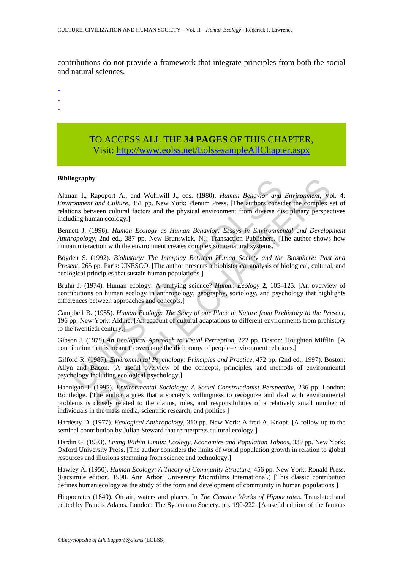contributions do not provide a framework that integrate principles from both the social and natural sciences.

-

- -
- -

## TO ACCESS ALL THE **34 PAGES** OF THIS CHAPTER, Visit: [http://www.eolss.net/Eolss-sampleAllChapter.aspx](https://www.eolss.net/ebooklib/sc_cart.aspx?File=E6-23-06)

#### **Bibliography**

**Example 7**<br>
In I., Rapoport A., and Wohlwill J., eds. (1980). *Human Behavior and*<br>
comment and Culture, 351 pp. New York: Plenum Press. [The authors consider<br>
ions between cultural factors and the physical environment fr Stapport A., and Wohlwill J., eds. (1980). *Human Behavior and Environment*, Van and Culture, 351 pp. New York: Pleum Press. [The authors emisted the complex owe an cultural factors and the physical environment from divers Altman I., Rapoport A., and Wohlwill J., eds. (1980). *Human Behavior and Environment*, Vol. 4: *Environment and Culture*, 351 pp. New York: Plenum Press. [The authors consider the complex set of relations between cultural factors and the physical environment from diverse disciplinary perspectives including human ecology.]

Bennett J. (1996). *Human Ecology as Human Behavior: Essays in Environmental and Development Anthropology*, 2nd ed., 387 pp. New Brunswick, NJ: Transaction Publishers. [The author shows how human interaction with the environment creates complex socio-natural systems.

Boyden S. (1992). *Biohistory: The Interplay Between Human Society and the Biosphere: Past and Present*, 265 pp. Paris: UNESCO. [The author presents a biohistorical analysis of biological, cultural, and ecological principles that sustain human populations.]

Bruhn J. (1974). Human ecology: A unifying science? *Human Ecology* **2**, 105–125. [An overview of contributions on human ecology in anthropology, geography, sociology, and psychology that highlights differences between approaches and concepts.]

Campbell B. (1985). *Human Ecology: The Story of our Place in Nature from Prehistory to the Present*, 196 pp. New York: Aldine. [An account of cultural adaptations to different environments from prehistory to the twentieth century.]

Gibson J. (1979) *An Ecological Approach to Visual Perception*, 222 pp. Boston: Houghton Mifflin. [A contribution that is meant to overcome the dichotomy of people–environment relations.]

Gifford R. (1987). *Environmental Psychology: Principles and Practice*, 472 pp. (2nd ed., 1997). Boston: Allyn and Bacon. [A useful overview of the concepts, principles, and methods of environmental psychology including ecological psychology.]

Hannigan J. (1995). *Environmental Sociology: A Social Constructionist Perspective*, 236 pp. London: Routledge. [The author argues that a society's willingness to recognize and deal with environmental problems is closely related to the claims, roles, and responsibilities of a relatively small number of individuals in the mass media, scientific research, and politics.]

Hardesty D. (1977). *Ecological Anthropology*, 310 pp. New York: Alfred A. Knopf. [A follow-up to the seminal contribution by Julian Steward that reinterprets cultural ecology.]

Hardin G. (1993). *Living Within Limits: Ecology, Economics and Population Taboos*, 339 pp. New York: Oxford University Press. [The author considers the limits of world population growth in relation to global resources and illusions stemming from science and technology.]

Hawley A. (1950). *Human Ecology: A Theory of Community Structure*, 456 pp. New York: Ronald Press. (Facsimile edition, 1998. Ann Arbor: University Microfilms International.) [This classic contribution defines human ecology as the study of the form and development of community in human populations.]

Hippocrates (1849). On air, waters and places. In *The Genuine Works of Hippocrates*. Translated and edited by Francis Adams. London: The Sydenham Society. pp. 190-222. [A useful edition of the famous